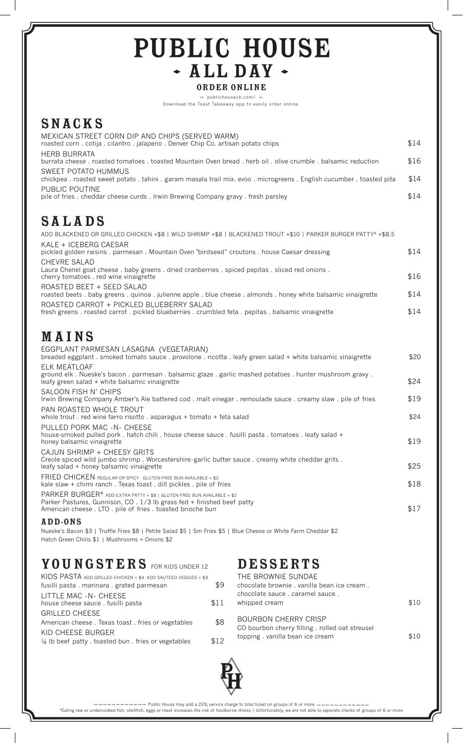# **PUBLIC HOUSE ALL DAY ORDER ONLINE**

 $\sim$  publichousecb.com/  $\sim$ 

Download the Toast Takeaway app to easily order online.

# **SNACKS**

| MEXICAN STREET CORN DIP AND CHIPS (SERVED WARM)<br>roasted corn . cotija . cilantro . jalapeno . Denver Chip Co. artisan potato chips    | \$14 |
|------------------------------------------------------------------------------------------------------------------------------------------|------|
| <b>HERB BURRATA</b><br>burrata cheese. roasted tomatoes. toasted Mountain Oven bread. herb oil. olive crumble. balsamic reduction        | \$16 |
| SWEET POTATO HUMMUS<br>chickpea. roasted sweet potato. tahini. garam masala trail mix. evoo. microgreens. English cucumber. toasted pita | \$14 |
| PUBLIC POUTINE<br>pile of fries. cheddar cheese curds. Irwin Brewing Company gravy. fresh parsley                                        | \$14 |
|                                                                                                                                          |      |

# **SALADS**

| ADD BLACKENED OR GRILLED CHICKEN +\$8   WILD SHRIMP +\$8   BLACKENED TROUT +\$10   PARKER BURGER PATTY* +\$8.5                                                                                                  |      |
|-----------------------------------------------------------------------------------------------------------------------------------------------------------------------------------------------------------------|------|
| KALE + ICEBERG CAESAR<br>pickled golden raisins . parmesan . Mountain Oven "birdseed" croutons . house Caesar dressing                                                                                          | \$14 |
| CHEVRE SALAD<br>Laura Chenel goat cheese . baby greens . dried cranberries . spiced pepitas . sliced red onions .<br>cherry tomatoes . red wine vinaigrette                                                     | \$16 |
| ROASTED BEET + SEED SALAD<br>roasted beets . baby greens . quinoa . julienne apple . blue cheese . almonds . honey white balsamic vinaigrette                                                                   | \$14 |
| ROASTED CARROT + PICKLED BLUEBERRY SALAD<br>fresh greens. roasted carrot. pickled blueberries. crumbled feta. pepitas. balsamic vinaigrette                                                                     | \$14 |
| MAINS                                                                                                                                                                                                           |      |
| EGGPLANT PARMESAN LASAGNA (VEGETARIAN)<br>breaded eggplant. smoked tomato sauce. provolone. ricotta. leafy green salad + white balsamic vinaigrette                                                             | \$20 |
| <b>ELK MEATLOAF</b><br>ground elk. Nueske's bacon. parmesan. balsamic glaze. garlic mashed potatoes. hunter mushroom gravy.<br>leafy green salad + white balsamic vinaigrette                                   | \$24 |
| SALOON FISH N' CHIPS<br>Irwin Brewing Company Amber's Ale battered cod. malt vinegar. remoulade sauce. creamy slaw. pile of fries                                                                               | \$19 |
| PAN ROASTED WHOLE TROUT<br>whole trout . red wine farro risotto . asparagus + tomato + feta salad                                                                                                               | \$24 |
| PULLED PORK MAC - N - CHEESE<br>house-smoked pulled pork . hatch chili . house cheese sauce . fusilli pasta . tomatoes . leafy salad +<br>honey balsamic vinaigrette                                            | \$19 |
| CAJUN SHRIMP + CHEESY GRITS<br>Creole spiced wild jumbo shrimp. Worcestershire garlic butter sauce. creamy white cheddar grits.<br>leafy salad + honey balsamic vinaigrette                                     | \$25 |
| FRIED CHICKEN REGULAR OR SPICY GLUTEN-FREE BUN AVAILABLE + \$2<br>kale slaw + chimi ranch. Texas toast . dill pickles . pile of fries                                                                           | \$18 |
| PARKER BURGER* ADD EXTRA PATTY + \$8   GLUTEN-FREE BUN AVAILABLE + \$2<br>Parker Pastures, Gunnison, CO . 1/3 lb grass-fed + finished beef patty<br>American cheese . LTO . pile of fries . toasted brioche bun | \$17 |
|                                                                                                                                                                                                                 |      |

#### **ADD-ONS**

Nueske's Bacon \$3 | Truffle Fries \$8 | Petite Salad \$5 | Sm Fries \$5 | Blue Cheese or White Farm Cheddar \$2 Hatch Green Chilis \$1 | Mushrooms + Onions \$2

## **YOUNGSTERS** FOR KIDS UNDER 12

| KIDS PASTA ADD GRILLED CHICKEN + \$4 ADD SAUTEED VEGGIES + \$3             |      |
|----------------------------------------------------------------------------|------|
| fusilli pasta . marinara . grated parmesan                                 | \$9  |
| LITTLE MAC - N - CHEESE<br>house cheese sauce . fusilli pasta              | \$11 |
| <b>GRILLED CHEESE</b><br>American cheese. Texas toast. fries or vegetables | \$8  |
| KID CHEESE BURGER<br>1/4 lb beef patty . toasted bun . fries or vegetables | \$12 |

# **DESSERTS**

| THE BROWNIE SUNDAE<br>chocolate brownie , vanilla bean ice cream.<br>chocolate sauce, caramel sauce,<br>whipped cream | \$10 |
|-----------------------------------------------------------------------------------------------------------------------|------|
| <b>BOURBON CHERRY CRISP</b><br>CO bourbon cherry filling. rolled oat streusel                                         |      |
| topping. vanilla bean ice cream                                                                                       |      |